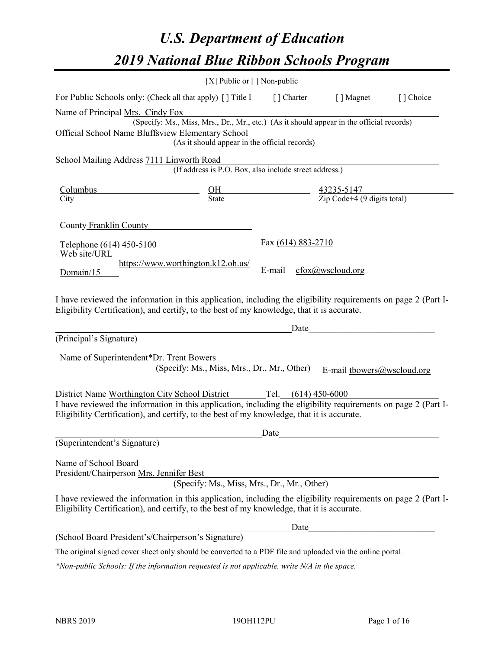# *U.S. Department of Education 2019 National Blue Ribbon Schools Program*

|                                                                                                                                                                                                                                         | [X] Public or $\lceil$ ] Non-public                                                      |                    |                                                                                                  |           |
|-----------------------------------------------------------------------------------------------------------------------------------------------------------------------------------------------------------------------------------------|------------------------------------------------------------------------------------------|--------------------|--------------------------------------------------------------------------------------------------|-----------|
| For Public Schools only: (Check all that apply) [] Title I [] Charter [] Magnet                                                                                                                                                         |                                                                                          |                    |                                                                                                  | [] Choice |
| Name of Principal Mrs. Cindy Fox                                                                                                                                                                                                        |                                                                                          |                    |                                                                                                  |           |
|                                                                                                                                                                                                                                         | (Specify: Ms., Miss, Mrs., Dr., Mr., etc.) (As it should appear in the official records) |                    |                                                                                                  |           |
| Official School Name Bluffsview Elementary School                                                                                                                                                                                       | (As it should appear in the official records)                                            |                    |                                                                                                  |           |
|                                                                                                                                                                                                                                         |                                                                                          |                    |                                                                                                  |           |
| School Mailing Address 7111 Linworth Road                                                                                                                                                                                               | (If address is P.O. Box, also include street address.)                                   |                    |                                                                                                  |           |
|                                                                                                                                                                                                                                         |                                                                                          |                    |                                                                                                  |           |
| Columbus<br>City                                                                                                                                                                                                                        |                                                                                          |                    | $\frac{\text{OH}}{\text{State}}$ $\frac{43235-5147}{\text{Zip Code}+4 (9 \text{ digits total})}$ |           |
|                                                                                                                                                                                                                                         |                                                                                          |                    |                                                                                                  |           |
| County Franklin County                                                                                                                                                                                                                  |                                                                                          |                    |                                                                                                  |           |
| Telephone (614) 450-5100                                                                                                                                                                                                                |                                                                                          | Fax (614) 883-2710 |                                                                                                  |           |
| Web site/URL                                                                                                                                                                                                                            |                                                                                          |                    |                                                                                                  |           |
|                                                                                                                                                                                                                                         | https://www.worthington.k12.oh.us/                                                       | E-mail             | $c$ fox $@$ wscloud.org                                                                          |           |
| Domain/15                                                                                                                                                                                                                               |                                                                                          |                    |                                                                                                  |           |
| I have reviewed the information in this application, including the eligibility requirements on page 2 (Part I-<br>Eligibility Certification), and certify, to the best of my knowledge, that it is accurate.<br>(Principal's Signature) |                                                                                          | Date               |                                                                                                  |           |
| Name of Superintendent*Dr. Trent Bowers                                                                                                                                                                                                 |                                                                                          |                    |                                                                                                  |           |
|                                                                                                                                                                                                                                         | (Specify: Ms., Miss, Mrs., Dr., Mr., Other)                                              |                    | E-mail tbowers@wscloud.org                                                                       |           |
|                                                                                                                                                                                                                                         |                                                                                          |                    |                                                                                                  |           |
| District Name Worthington City School District Tel. (614) 450-6000                                                                                                                                                                      |                                                                                          |                    |                                                                                                  |           |
| I have reviewed the information in this application, including the eligibility requirements on page 2 (Part I-<br>Eligibility Certification), and certify, to the best of my knowledge, that it is accurate.                            |                                                                                          |                    |                                                                                                  |           |
|                                                                                                                                                                                                                                         |                                                                                          | Date               |                                                                                                  |           |
| (Superintendent's Signature)                                                                                                                                                                                                            |                                                                                          |                    |                                                                                                  |           |
| Name of School Board                                                                                                                                                                                                                    |                                                                                          |                    |                                                                                                  |           |
| President/Chairperson Mrs. Jennifer Best                                                                                                                                                                                                |                                                                                          |                    |                                                                                                  |           |
|                                                                                                                                                                                                                                         | (Specify: Ms., Miss, Mrs., Dr., Mr., Other)                                              |                    |                                                                                                  |           |
| I have reviewed the information in this application, including the eligibility requirements on page 2 (Part I-<br>Eligibility Certification), and certify, to the best of my knowledge, that it is accurate.                            |                                                                                          |                    |                                                                                                  |           |
|                                                                                                                                                                                                                                         |                                                                                          | Date               |                                                                                                  |           |
| (School Board President's/Chairperson's Signature)                                                                                                                                                                                      |                                                                                          |                    |                                                                                                  |           |
| The original signed cover sheet only should be converted to a PDF file and uploaded via the online portal.                                                                                                                              |                                                                                          |                    |                                                                                                  |           |

*\*Non-public Schools: If the information requested is not applicable, write N/A in the space.*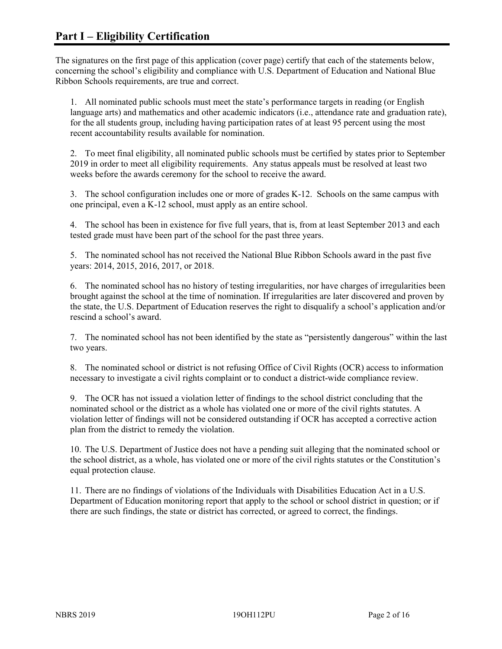The signatures on the first page of this application (cover page) certify that each of the statements below, concerning the school's eligibility and compliance with U.S. Department of Education and National Blue Ribbon Schools requirements, are true and correct.

1. All nominated public schools must meet the state's performance targets in reading (or English language arts) and mathematics and other academic indicators (i.e., attendance rate and graduation rate), for the all students group, including having participation rates of at least 95 percent using the most recent accountability results available for nomination.

2. To meet final eligibility, all nominated public schools must be certified by states prior to September 2019 in order to meet all eligibility requirements. Any status appeals must be resolved at least two weeks before the awards ceremony for the school to receive the award.

3. The school configuration includes one or more of grades K-12. Schools on the same campus with one principal, even a K-12 school, must apply as an entire school.

4. The school has been in existence for five full years, that is, from at least September 2013 and each tested grade must have been part of the school for the past three years.

5. The nominated school has not received the National Blue Ribbon Schools award in the past five years: 2014, 2015, 2016, 2017, or 2018.

6. The nominated school has no history of testing irregularities, nor have charges of irregularities been brought against the school at the time of nomination. If irregularities are later discovered and proven by the state, the U.S. Department of Education reserves the right to disqualify a school's application and/or rescind a school's award.

7. The nominated school has not been identified by the state as "persistently dangerous" within the last two years.

8. The nominated school or district is not refusing Office of Civil Rights (OCR) access to information necessary to investigate a civil rights complaint or to conduct a district-wide compliance review.

9. The OCR has not issued a violation letter of findings to the school district concluding that the nominated school or the district as a whole has violated one or more of the civil rights statutes. A violation letter of findings will not be considered outstanding if OCR has accepted a corrective action plan from the district to remedy the violation.

10. The U.S. Department of Justice does not have a pending suit alleging that the nominated school or the school district, as a whole, has violated one or more of the civil rights statutes or the Constitution's equal protection clause.

11. There are no findings of violations of the Individuals with Disabilities Education Act in a U.S. Department of Education monitoring report that apply to the school or school district in question; or if there are such findings, the state or district has corrected, or agreed to correct, the findings.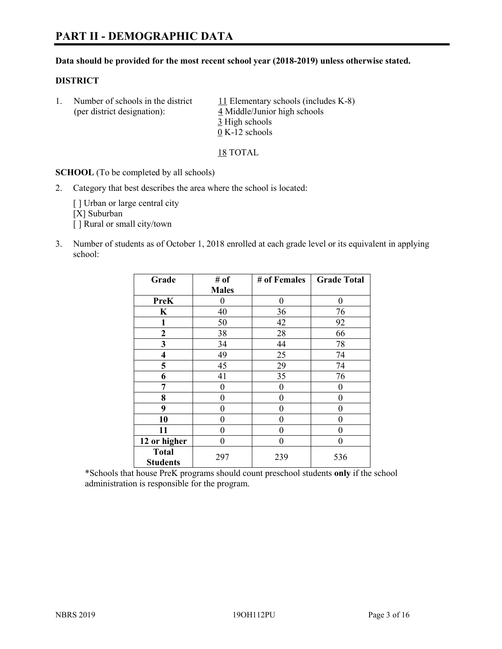#### **Data should be provided for the most recent school year (2018-2019) unless otherwise stated.**

#### **DISTRICT**

1. Number of schools in the district  $11$  Elementary schools (includes K-8) (per district designation): 4 Middle/Junior high schools 3 High schools 0 K-12 schools

18 TOTAL

**SCHOOL** (To be completed by all schools)

2. Category that best describes the area where the school is located:

[ ] Urban or large central city [X] Suburban [] Rural or small city/town

3. Number of students as of October 1, 2018 enrolled at each grade level or its equivalent in applying school:

| Grade                   | # of         | # of Females | <b>Grade Total</b> |
|-------------------------|--------------|--------------|--------------------|
|                         | <b>Males</b> |              |                    |
| <b>PreK</b>             | $\theta$     | $\theta$     | 0                  |
| $\mathbf K$             | 40           | 36           | 76                 |
| 1                       | 50           | 42           | 92                 |
| 2                       | 38           | 28           | 66                 |
| 3                       | 34           | 44           | 78                 |
| $\overline{\mathbf{4}}$ | 49           | 25           | 74                 |
| 5                       | 45           | 29           | 74                 |
| 6                       | 41           | 35           | 76                 |
| 7                       | 0            | $\theta$     | 0                  |
| 8                       | 0            | $\theta$     | 0                  |
| 9                       | 0            | $\theta$     | 0                  |
| 10                      | 0            | $\theta$     | 0                  |
| 11                      | $\theta$     | 0            | 0                  |
| 12 or higher            | 0            | 0            | 0                  |
| <b>Total</b>            | 297          | 239          | 536                |
| <b>Students</b>         |              |              |                    |

\*Schools that house PreK programs should count preschool students **only** if the school administration is responsible for the program.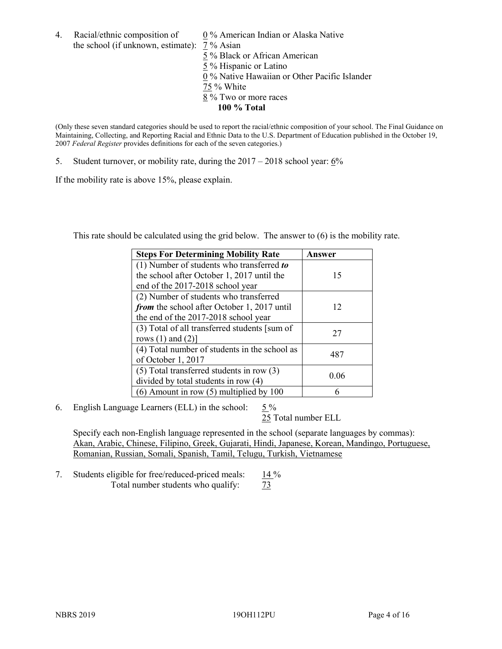4. Racial/ethnic composition of  $0\%$  American Indian or Alaska Native the school (if unknown, estimate): 7 % Asian

 % Black or African American % Hispanic or Latino % Native Hawaiian or Other Pacific Islander 75 % White % Two or more races **100 % Total**

(Only these seven standard categories should be used to report the racial/ethnic composition of your school. The Final Guidance on Maintaining, Collecting, and Reporting Racial and Ethnic Data to the U.S. Department of Education published in the October 19, 2007 *Federal Register* provides definitions for each of the seven categories.)

5. Student turnover, or mobility rate, during the 2017 – 2018 school year: 6%

If the mobility rate is above 15%, please explain.

This rate should be calculated using the grid below. The answer to (6) is the mobility rate.

| <b>Steps For Determining Mobility Rate</b>    | Answer |
|-----------------------------------------------|--------|
| (1) Number of students who transferred to     |        |
| the school after October 1, 2017 until the    | 15     |
| end of the 2017-2018 school year              |        |
| (2) Number of students who transferred        |        |
| from the school after October 1, 2017 until   | 12     |
| the end of the 2017-2018 school year          |        |
| (3) Total of all transferred students [sum of | 27     |
| rows $(1)$ and $(2)$ ]                        |        |
| (4) Total number of students in the school as | 487    |
| of October 1, 2017                            |        |
| $(5)$ Total transferred students in row $(3)$ | 0.06   |
| divided by total students in row (4)          |        |
| $(6)$ Amount in row $(5)$ multiplied by 100   |        |

6. English Language Learners (ELL) in the school:  $5\%$ 

25 Total number ELL

Specify each non-English language represented in the school (separate languages by commas): Akan, Arabic, Chinese, Filipino, Greek, Gujarati, Hindi, Japanese, Korean, Mandingo, Portuguese, Romanian, Russian, Somali, Spanish, Tamil, Telugu, Turkish, Vietnamese

7. Students eligible for free/reduced-priced meals: 14 % Total number students who qualify:  $\frac{73}{ }$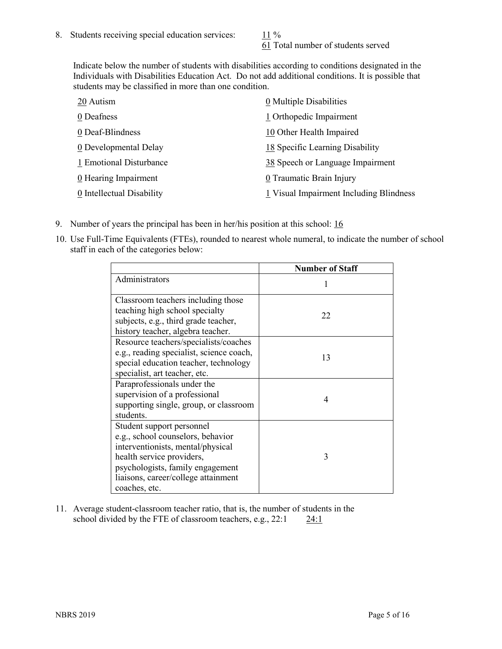61 Total number of students served

Indicate below the number of students with disabilities according to conditions designated in the Individuals with Disabilities Education Act. Do not add additional conditions. It is possible that students may be classified in more than one condition.

| 20 Autism                 | 0 Multiple Disabilities                 |
|---------------------------|-----------------------------------------|
| 0 Deafness                | 1 Orthopedic Impairment                 |
| 0 Deaf-Blindness          | 10 Other Health Impaired                |
| 0 Developmental Delay     | 18 Specific Learning Disability         |
| 1 Emotional Disturbance   | 38 Speech or Language Impairment        |
| 0 Hearing Impairment      | 0 Traumatic Brain Injury                |
| 0 Intellectual Disability | 1 Visual Impairment Including Blindness |

- 9. Number of years the principal has been in her/his position at this school: 16
- 10. Use Full-Time Equivalents (FTEs), rounded to nearest whole numeral, to indicate the number of school staff in each of the categories below:

|                                                                                                                                                                                                                              | <b>Number of Staff</b> |
|------------------------------------------------------------------------------------------------------------------------------------------------------------------------------------------------------------------------------|------------------------|
| Administrators                                                                                                                                                                                                               |                        |
| Classroom teachers including those<br>teaching high school specialty<br>subjects, e.g., third grade teacher,<br>history teacher, algebra teacher.                                                                            | 22                     |
| Resource teachers/specialists/coaches<br>e.g., reading specialist, science coach,<br>special education teacher, technology<br>specialist, art teacher, etc.                                                                  | 13                     |
| Paraprofessionals under the<br>supervision of a professional<br>supporting single, group, or classroom<br>students.                                                                                                          | 4                      |
| Student support personnel<br>e.g., school counselors, behavior<br>interventionists, mental/physical<br>health service providers,<br>psychologists, family engagement<br>liaisons, career/college attainment<br>coaches, etc. | 3                      |

11. Average student-classroom teacher ratio, that is, the number of students in the school divided by the FTE of classroom teachers, e.g., 22:1 24:1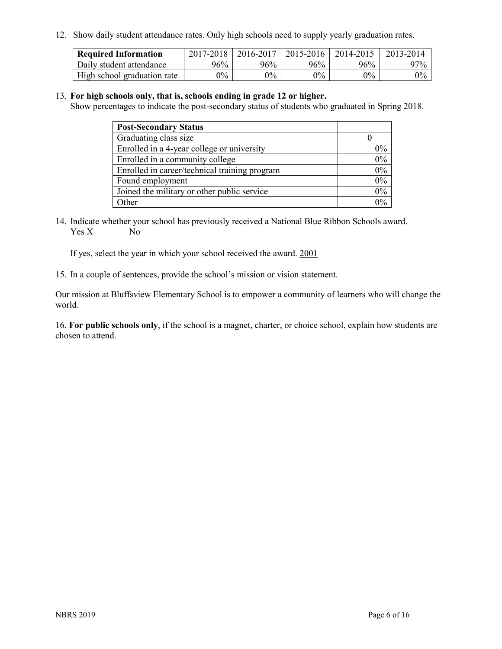12. Show daily student attendance rates. Only high schools need to supply yearly graduation rates.

| <b>Required Information</b> | 2017-2018 | 2016-2017 | 2015-2016 | 2014-2015 | 2013-2014 |
|-----------------------------|-----------|-----------|-----------|-----------|-----------|
| Daily student attendance    | 96%       | 96%       | 96%       | 96%       | 97%       |
| High school graduation rate | $0\%$     | $0\%$     | $0\%$     | $9\%$     | $0\%$     |

#### 13. **For high schools only, that is, schools ending in grade 12 or higher.**

Show percentages to indicate the post-secondary status of students who graduated in Spring 2018.

| <b>Post-Secondary Status</b>                  |           |
|-----------------------------------------------|-----------|
| Graduating class size                         |           |
| Enrolled in a 4-year college or university    | $0\%$     |
| Enrolled in a community college               | 0%        |
| Enrolled in career/technical training program | $0\%$     |
| Found employment                              | 0%        |
| Joined the military or other public service   | 0%        |
| Other                                         | በዓ $\sim$ |

14. Indicate whether your school has previously received a National Blue Ribbon Schools award. Yes X No

If yes, select the year in which your school received the award. 2001

15. In a couple of sentences, provide the school's mission or vision statement.

Our mission at Bluffsview Elementary School is to empower a community of learners who will change the world.

16. **For public schools only**, if the school is a magnet, charter, or choice school, explain how students are chosen to attend.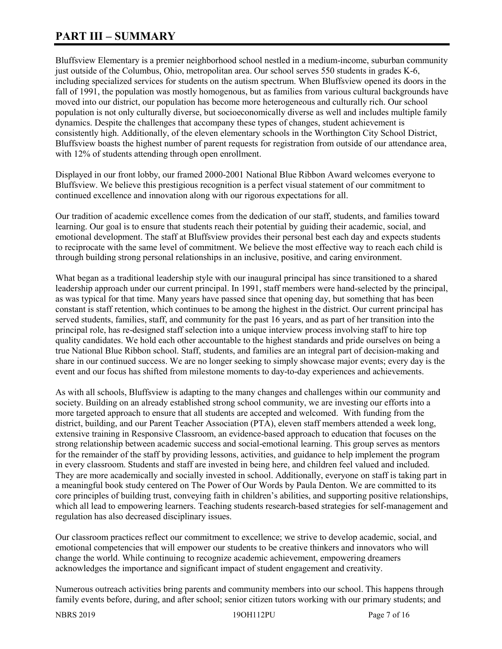# **PART III – SUMMARY**

Bluffsview Elementary is a premier neighborhood school nestled in a medium-income, suburban community just outside of the Columbus, Ohio, metropolitan area. Our school serves 550 students in grades K-6, including specialized services for students on the autism spectrum. When Bluffsview opened its doors in the fall of 1991, the population was mostly homogenous, but as families from various cultural backgrounds have moved into our district, our population has become more heterogeneous and culturally rich. Our school population is not only culturally diverse, but socioeconomically diverse as well and includes multiple family dynamics. Despite the challenges that accompany these types of changes, student achievement is consistently high. Additionally, of the eleven elementary schools in the Worthington City School District, Bluffsview boasts the highest number of parent requests for registration from outside of our attendance area, with 12% of students attending through open enrollment.

Displayed in our front lobby, our framed 2000-2001 National Blue Ribbon Award welcomes everyone to Bluffsview. We believe this prestigious recognition is a perfect visual statement of our commitment to continued excellence and innovation along with our rigorous expectations for all.

Our tradition of academic excellence comes from the dedication of our staff, students, and families toward learning. Our goal is to ensure that students reach their potential by guiding their academic, social, and emotional development. The staff at Bluffsview provides their personal best each day and expects students to reciprocate with the same level of commitment. We believe the most effective way to reach each child is through building strong personal relationships in an inclusive, positive, and caring environment.

What began as a traditional leadership style with our inaugural principal has since transitioned to a shared leadership approach under our current principal. In 1991, staff members were hand-selected by the principal, as was typical for that time. Many years have passed since that opening day, but something that has been constant is staff retention, which continues to be among the highest in the district. Our current principal has served students, families, staff, and community for the past 16 years, and as part of her transition into the principal role, has re-designed staff selection into a unique interview process involving staff to hire top quality candidates. We hold each other accountable to the highest standards and pride ourselves on being a true National Blue Ribbon school. Staff, students, and families are an integral part of decision-making and share in our continued success. We are no longer seeking to simply showcase major events; every day is the event and our focus has shifted from milestone moments to day-to-day experiences and achievements.

As with all schools, Bluffsview is adapting to the many changes and challenges within our community and society. Building on an already established strong school community, we are investing our efforts into a more targeted approach to ensure that all students are accepted and welcomed. With funding from the district, building, and our Parent Teacher Association (PTA), eleven staff members attended a week long, extensive training in Responsive Classroom, an evidence-based approach to education that focuses on the strong relationship between academic success and social-emotional learning. This group serves as mentors for the remainder of the staff by providing lessons, activities, and guidance to help implement the program in every classroom. Students and staff are invested in being here, and children feel valued and included. They are more academically and socially invested in school. Additionally, everyone on staff is taking part in a meaningful book study centered on The Power of Our Words by Paula Denton. We are committed to its core principles of building trust, conveying faith in children's abilities, and supporting positive relationships, which all lead to empowering learners. Teaching students research-based strategies for self-management and regulation has also decreased disciplinary issues.

Our classroom practices reflect our commitment to excellence; we strive to develop academic, social, and emotional competencies that will empower our students to be creative thinkers and innovators who will change the world. While continuing to recognize academic achievement, empowering dreamers acknowledges the importance and significant impact of student engagement and creativity.

Numerous outreach activities bring parents and community members into our school. This happens through family events before, during, and after school; senior citizen tutors working with our primary students; and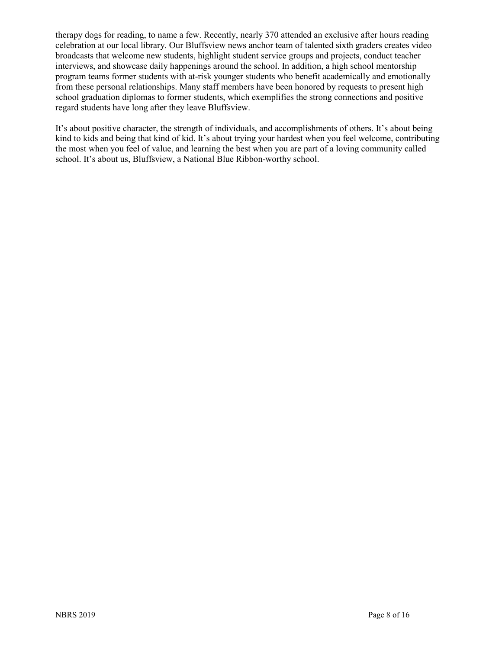therapy dogs for reading, to name a few. Recently, nearly 370 attended an exclusive after hours reading celebration at our local library. Our Bluffsview news anchor team of talented sixth graders creates video broadcasts that welcome new students, highlight student service groups and projects, conduct teacher interviews, and showcase daily happenings around the school. In addition, a high school mentorship program teams former students with at-risk younger students who benefit academically and emotionally from these personal relationships. Many staff members have been honored by requests to present high school graduation diplomas to former students, which exemplifies the strong connections and positive regard students have long after they leave Bluffsview.

It's about positive character, the strength of individuals, and accomplishments of others. It's about being kind to kids and being that kind of kid. It's about trying your hardest when you feel welcome, contributing the most when you feel of value, and learning the best when you are part of a loving community called school. It's about us, Bluffsview, a National Blue Ribbon-worthy school.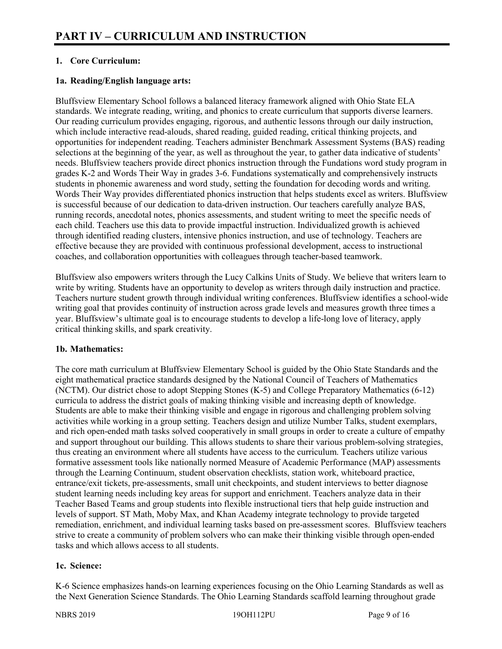# **1. Core Curriculum:**

# **1a. Reading/English language arts:**

Bluffsview Elementary School follows a balanced literacy framework aligned with Ohio State ELA standards. We integrate reading, writing, and phonics to create curriculum that supports diverse learners. Our reading curriculum provides engaging, rigorous, and authentic lessons through our daily instruction, which include interactive read-alouds, shared reading, guided reading, critical thinking projects, and opportunities for independent reading. Teachers administer Benchmark Assessment Systems (BAS) reading selections at the beginning of the year, as well as throughout the year, to gather data indicative of students' needs. Bluffsview teachers provide direct phonics instruction through the Fundations word study program in grades K-2 and Words Their Way in grades 3-6. Fundations systematically and comprehensively instructs students in phonemic awareness and word study, setting the foundation for decoding words and writing. Words Their Way provides differentiated phonics instruction that helps students excel as writers. Bluffsview is successful because of our dedication to data-driven instruction. Our teachers carefully analyze BAS, running records, anecdotal notes, phonics assessments, and student writing to meet the specific needs of each child. Teachers use this data to provide impactful instruction. Individualized growth is achieved through identified reading clusters, intensive phonics instruction, and use of technology. Teachers are effective because they are provided with continuous professional development, access to instructional coaches, and collaboration opportunities with colleagues through teacher-based teamwork.

Bluffsview also empowers writers through the Lucy Calkins Units of Study. We believe that writers learn to write by writing. Students have an opportunity to develop as writers through daily instruction and practice. Teachers nurture student growth through individual writing conferences. Bluffsview identifies a school-wide writing goal that provides continuity of instruction across grade levels and measures growth three times a year. Bluffsview's ultimate goal is to encourage students to develop a life-long love of literacy, apply critical thinking skills, and spark creativity.

#### **1b. Mathematics:**

The core math curriculum at Bluffsview Elementary School is guided by the Ohio State Standards and the eight mathematical practice standards designed by the National Council of Teachers of Mathematics (NCTM). Our district chose to adopt Stepping Stones (K-5) and College Preparatory Mathematics (6-12) curricula to address the district goals of making thinking visible and increasing depth of knowledge. Students are able to make their thinking visible and engage in rigorous and challenging problem solving activities while working in a group setting. Teachers design and utilize Number Talks, student exemplars, and rich open-ended math tasks solved cooperatively in small groups in order to create a culture of empathy and support throughout our building. This allows students to share their various problem-solving strategies, thus creating an environment where all students have access to the curriculum. Teachers utilize various formative assessment tools like nationally normed Measure of Academic Performance (MAP) assessments through the Learning Continuum, student observation checklists, station work, whiteboard practice, entrance/exit tickets, pre-assessments, small unit checkpoints, and student interviews to better diagnose student learning needs including key areas for support and enrichment. Teachers analyze data in their Teacher Based Teams and group students into flexible instructional tiers that help guide instruction and levels of support. ST Math, Moby Max, and Khan Academy integrate technology to provide targeted remediation, enrichment, and individual learning tasks based on pre-assessment scores. Bluffsview teachers strive to create a community of problem solvers who can make their thinking visible through open-ended tasks and which allows access to all students.

#### **1c. Science:**

K-6 Science emphasizes hands-on learning experiences focusing on the Ohio Learning Standards as well as the Next Generation Science Standards. The Ohio Learning Standards scaffold learning throughout grade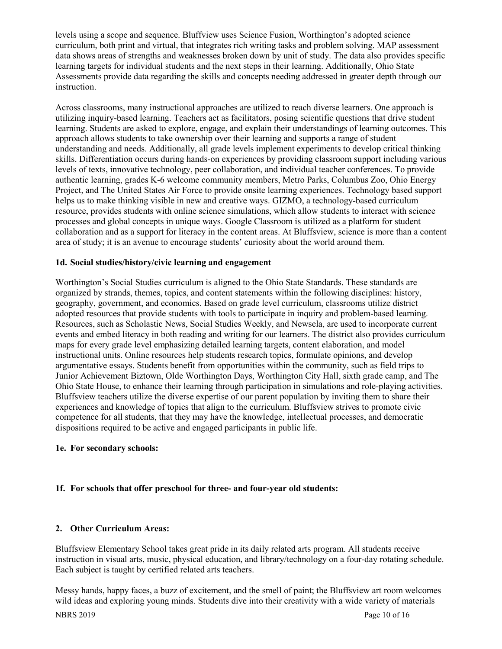levels using a scope and sequence. Bluffview uses Science Fusion, Worthington's adopted science curriculum, both print and virtual, that integrates rich writing tasks and problem solving. MAP assessment data shows areas of strengths and weaknesses broken down by unit of study. The data also provides specific learning targets for individual students and the next steps in their learning. Additionally, Ohio State Assessments provide data regarding the skills and concepts needing addressed in greater depth through our instruction.

Across classrooms, many instructional approaches are utilized to reach diverse learners. One approach is utilizing inquiry-based learning. Teachers act as facilitators, posing scientific questions that drive student learning. Students are asked to explore, engage, and explain their understandings of learning outcomes. This approach allows students to take ownership over their learning and supports a range of student understanding and needs. Additionally, all grade levels implement experiments to develop critical thinking skills. Differentiation occurs during hands-on experiences by providing classroom support including various levels of texts, innovative technology, peer collaboration, and individual teacher conferences. To provide authentic learning, grades K-6 welcome community members, Metro Parks, Columbus Zoo, Ohio Energy Project, and The United States Air Force to provide onsite learning experiences. Technology based support helps us to make thinking visible in new and creative ways. GIZMO, a technology-based curriculum resource, provides students with online science simulations, which allow students to interact with science processes and global concepts in unique ways. Google Classroom is utilized as a platform for student collaboration and as a support for literacy in the content areas. At Bluffsview, science is more than a content area of study; it is an avenue to encourage students' curiosity about the world around them.

#### **1d. Social studies/history/civic learning and engagement**

Worthington's Social Studies curriculum is aligned to the Ohio State Standards. These standards are organized by strands, themes, topics, and content statements within the following disciplines: history, geography, government, and economics. Based on grade level curriculum, classrooms utilize district adopted resources that provide students with tools to participate in inquiry and problem-based learning. Resources, such as Scholastic News, Social Studies Weekly, and Newsela, are used to incorporate current events and embed literacy in both reading and writing for our learners. The district also provides curriculum maps for every grade level emphasizing detailed learning targets, content elaboration, and model instructional units. Online resources help students research topics, formulate opinions, and develop argumentative essays. Students benefit from opportunities within the community, such as field trips to Junior Achievement Biztown, Olde Worthington Days, Worthington City Hall, sixth grade camp, and The Ohio State House, to enhance their learning through participation in simulations and role-playing activities. Bluffsview teachers utilize the diverse expertise of our parent population by inviting them to share their experiences and knowledge of topics that align to the curriculum. Bluffsview strives to promote civic competence for all students, that they may have the knowledge, intellectual processes, and democratic dispositions required to be active and engaged participants in public life.

#### **1e. For secondary schools:**

# **1f. For schools that offer preschool for three- and four-year old students:**

#### **2. Other Curriculum Areas:**

Bluffsview Elementary School takes great pride in its daily related arts program. All students receive instruction in visual arts, music, physical education, and library/technology on a four-day rotating schedule. Each subject is taught by certified related arts teachers.

Messy hands, happy faces, a buzz of excitement, and the smell of paint; the Bluffsview art room welcomes wild ideas and exploring young minds. Students dive into their creativity with a wide variety of materials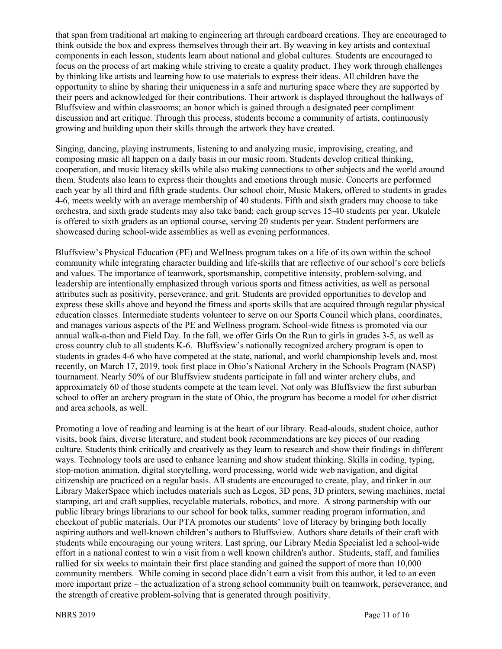that span from traditional art making to engineering art through cardboard creations. They are encouraged to think outside the box and express themselves through their art. By weaving in key artists and contextual components in each lesson, students learn about national and global cultures. Students are encouraged to focus on the process of art making while striving to create a quality product. They work through challenges by thinking like artists and learning how to use materials to express their ideas. All children have the opportunity to shine by sharing their uniqueness in a safe and nurturing space where they are supported by their peers and acknowledged for their contributions. Their artwork is displayed throughout the hallways of Bluffsview and within classrooms; an honor which is gained through a designated peer compliment discussion and art critique. Through this process, students become a community of artists, continuously growing and building upon their skills through the artwork they have created.

Singing, dancing, playing instruments, listening to and analyzing music, improvising, creating, and composing music all happen on a daily basis in our music room. Students develop critical thinking, cooperation, and music literacy skills while also making connections to other subjects and the world around them. Students also learn to express their thoughts and emotions through music. Concerts are performed each year by all third and fifth grade students. Our school choir, Music Makers, offered to students in grades 4-6, meets weekly with an average membership of 40 students. Fifth and sixth graders may choose to take orchestra, and sixth grade students may also take band; each group serves 15-40 students per year. Ukulele is offered to sixth graders as an optional course, serving 20 students per year. Student performers are showcased during school-wide assemblies as well as evening performances.

Bluffsview's Physical Education (PE) and Wellness program takes on a life of its own within the school community while integrating character building and life-skills that are reflective of our school's core beliefs and values. The importance of teamwork, sportsmanship, competitive intensity, problem-solving, and leadership are intentionally emphasized through various sports and fitness activities, as well as personal attributes such as positivity, perseverance, and grit. Students are provided opportunities to develop and express these skills above and beyond the fitness and sports skills that are acquired through regular physical education classes. Intermediate students volunteer to serve on our Sports Council which plans, coordinates, and manages various aspects of the PE and Wellness program. School-wide fitness is promoted via our annual walk-a-thon and Field Day. In the fall, we offer Girls On the Run to girls in grades 3-5, as well as cross country club to all students K-6. Bluffsview's nationally recognized archery program is open to students in grades 4-6 who have competed at the state, national, and world championship levels and, most recently, on March 17, 2019, took first place in Ohio's National Archery in the Schools Program (NASP) tournament. Nearly 50% of our Bluffsview students participate in fall and winter archery clubs, and approximately 60 of those students compete at the team level. Not only was Bluffsview the first suburban school to offer an archery program in the state of Ohio, the program has become a model for other district and area schools, as well.

Promoting a love of reading and learning is at the heart of our library. Read-alouds, student choice, author visits, book fairs, diverse literature, and student book recommendations are key pieces of our reading culture. Students think critically and creatively as they learn to research and show their findings in different ways. Technology tools are used to enhance learning and show student thinking. Skills in coding, typing, stop-motion animation, digital storytelling, word processing, world wide web navigation, and digital citizenship are practiced on a regular basis. All students are encouraged to create, play, and tinker in our Library MakerSpace which includes materials such as Legos, 3D pens, 3D printers, sewing machines, metal stamping, art and craft supplies, recyclable materials, robotics, and more. A strong partnership with our public library brings librarians to our school for book talks, summer reading program information, and checkout of public materials. Our PTA promotes our students' love of literacy by bringing both locally aspiring authors and well-known children's authors to Bluffsview. Authors share details of their craft with students while encouraging our young writers. Last spring, our Library Media Specialist led a school-wide effort in a national contest to win a visit from a well known children's author. Students, staff, and families rallied for six weeks to maintain their first place standing and gained the support of more than 10,000 community members. While coming in second place didn't earn a visit from this author, it led to an even more important prize – the actualization of a strong school community built on teamwork, perseverance, and the strength of creative problem-solving that is generated through positivity.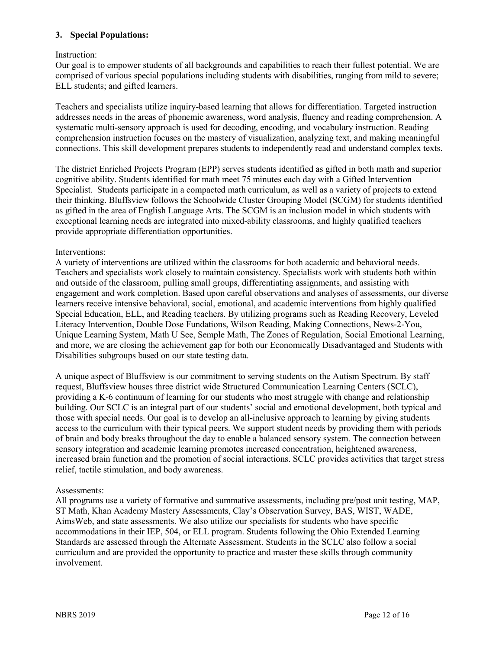### **3. Special Populations:**

# Instruction:

Our goal is to empower students of all backgrounds and capabilities to reach their fullest potential. We are comprised of various special populations including students with disabilities, ranging from mild to severe; ELL students; and gifted learners.

Teachers and specialists utilize inquiry-based learning that allows for differentiation. Targeted instruction addresses needs in the areas of phonemic awareness, word analysis, fluency and reading comprehension. A systematic multi-sensory approach is used for decoding, encoding, and vocabulary instruction. Reading comprehension instruction focuses on the mastery of visualization, analyzing text, and making meaningful connections. This skill development prepares students to independently read and understand complex texts.

The district Enriched Projects Program (EPP) serves students identified as gifted in both math and superior cognitive ability. Students identified for math meet 75 minutes each day with a Gifted Intervention Specialist. Students participate in a compacted math curriculum, as well as a variety of projects to extend their thinking. Bluffsview follows the Schoolwide Cluster Grouping Model (SCGM) for students identified as gifted in the area of English Language Arts. The SCGM is an inclusion model in which students with exceptional learning needs are integrated into mixed-ability classrooms, and highly qualified teachers provide appropriate differentiation opportunities.

#### Interventions:

A variety of interventions are utilized within the classrooms for both academic and behavioral needs. Teachers and specialists work closely to maintain consistency. Specialists work with students both within and outside of the classroom, pulling small groups, differentiating assignments, and assisting with engagement and work completion. Based upon careful observations and analyses of assessments, our diverse learners receive intensive behavioral, social, emotional, and academic interventions from highly qualified Special Education, ELL, and Reading teachers. By utilizing programs such as Reading Recovery, Leveled Literacy Intervention, Double Dose Fundations, Wilson Reading, Making Connections, News-2-You, Unique Learning System, Math U See, Semple Math, The Zones of Regulation, Social Emotional Learning, and more, we are closing the achievement gap for both our Economically Disadvantaged and Students with Disabilities subgroups based on our state testing data.

A unique aspect of Bluffsview is our commitment to serving students on the Autism Spectrum. By staff request, Bluffsview houses three district wide Structured Communication Learning Centers (SCLC), providing a K-6 continuum of learning for our students who most struggle with change and relationship building. Our SCLC is an integral part of our students' social and emotional development, both typical and those with special needs. Our goal is to develop an all-inclusive approach to learning by giving students access to the curriculum with their typical peers. We support student needs by providing them with periods of brain and body breaks throughout the day to enable a balanced sensory system. The connection between sensory integration and academic learning promotes increased concentration, heightened awareness, increased brain function and the promotion of social interactions. SCLC provides activities that target stress relief, tactile stimulation, and body awareness.

#### Assessments:

All programs use a variety of formative and summative assessments, including pre/post unit testing, MAP, ST Math, Khan Academy Mastery Assessments, Clay's Observation Survey, BAS, WIST, WADE, AimsWeb, and state assessments. We also utilize our specialists for students who have specific accommodations in their IEP, 504, or ELL program. Students following the Ohio Extended Learning Standards are assessed through the Alternate Assessment. Students in the SCLC also follow a social curriculum and are provided the opportunity to practice and master these skills through community involvement.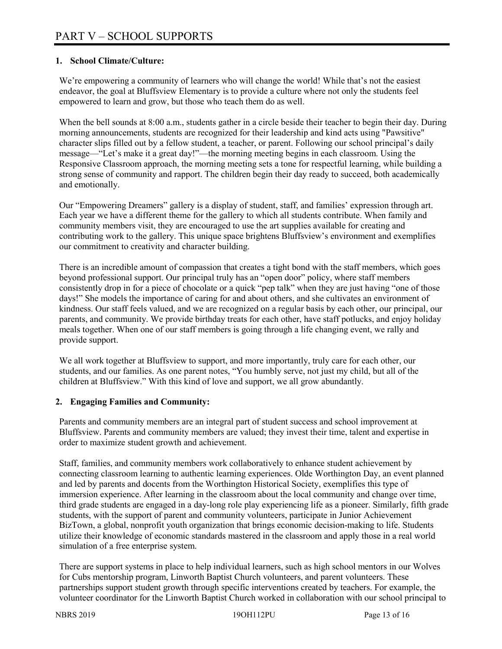# **1. School Climate/Culture:**

We're empowering a community of learners who will change the world! While that's not the easiest endeavor, the goal at Bluffsview Elementary is to provide a culture where not only the students feel empowered to learn and grow, but those who teach them do as well.

When the bell sounds at 8:00 a.m., students gather in a circle beside their teacher to begin their day. During morning announcements, students are recognized for their leadership and kind acts using "Pawsitive" character slips filled out by a fellow student, a teacher, or parent. Following our school principal's daily message—"Let's make it a great day!"—the morning meeting begins in each classroom. Using the Responsive Classroom approach, the morning meeting sets a tone for respectful learning, while building a strong sense of community and rapport. The children begin their day ready to succeed, both academically and emotionally.

Our "Empowering Dreamers" gallery is a display of student, staff, and families' expression through art. Each year we have a different theme for the gallery to which all students contribute. When family and community members visit, they are encouraged to use the art supplies available for creating and contributing work to the gallery. This unique space brightens Bluffsview's environment and exemplifies our commitment to creativity and character building.

There is an incredible amount of compassion that creates a tight bond with the staff members, which goes beyond professional support. Our principal truly has an "open door" policy, where staff members consistently drop in for a piece of chocolate or a quick "pep talk" when they are just having "one of those days!" She models the importance of caring for and about others, and she cultivates an environment of kindness. Our staff feels valued, and we are recognized on a regular basis by each other, our principal, our parents, and community. We provide birthday treats for each other, have staff potlucks, and enjoy holiday meals together. When one of our staff members is going through a life changing event, we rally and provide support.

We all work together at Bluffsview to support, and more importantly, truly care for each other, our students, and our families. As one parent notes, "You humbly serve, not just my child, but all of the children at Bluffsview." With this kind of love and support, we all grow abundantly.

#### **2. Engaging Families and Community:**

Parents and community members are an integral part of student success and school improvement at Bluffsview. Parents and community members are valued; they invest their time, talent and expertise in order to maximize student growth and achievement.

Staff, families, and community members work collaboratively to enhance student achievement by connecting classroom learning to authentic learning experiences. Olde Worthington Day, an event planned and led by parents and docents from the Worthington Historical Society, exemplifies this type of immersion experience. After learning in the classroom about the local community and change over time, third grade students are engaged in a day-long role play experiencing life as a pioneer. Similarly, fifth grade students, with the support of parent and community volunteers, participate in Junior Achievement BizTown, a global, nonprofit youth organization that brings economic decision-making to life. Students utilize their knowledge of economic standards mastered in the classroom and apply those in a real world simulation of a free enterprise system.

There are support systems in place to help individual learners, such as high school mentors in our Wolves for Cubs mentorship program, Linworth Baptist Church volunteers, and parent volunteers. These partnerships support student growth through specific interventions created by teachers. For example, the volunteer coordinator for the Linworth Baptist Church worked in collaboration with our school principal to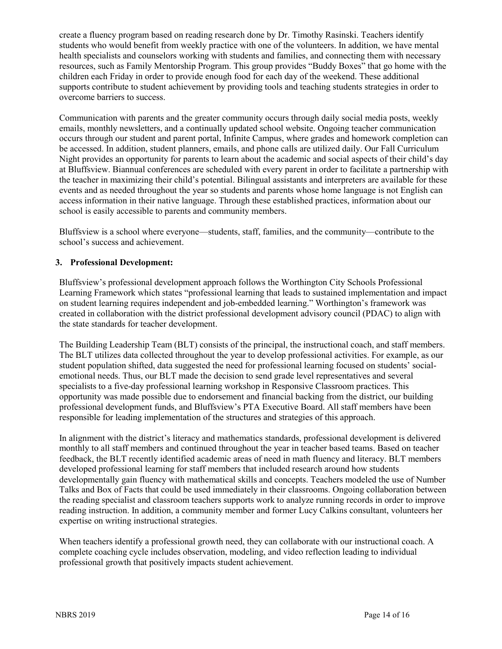create a fluency program based on reading research done by Dr. Timothy Rasinski. Teachers identify students who would benefit from weekly practice with one of the volunteers. In addition, we have mental health specialists and counselors working with students and families, and connecting them with necessary resources, such as Family Mentorship Program. This group provides "Buddy Boxes" that go home with the children each Friday in order to provide enough food for each day of the weekend. These additional supports contribute to student achievement by providing tools and teaching students strategies in order to overcome barriers to success.

Communication with parents and the greater community occurs through daily social media posts, weekly emails, monthly newsletters, and a continually updated school website. Ongoing teacher communication occurs through our student and parent portal, Infinite Campus, where grades and homework completion can be accessed. In addition, student planners, emails, and phone calls are utilized daily. Our Fall Curriculum Night provides an opportunity for parents to learn about the academic and social aspects of their child's day at Bluffsview. Biannual conferences are scheduled with every parent in order to facilitate a partnership with the teacher in maximizing their child's potential. Bilingual assistants and interpreters are available for these events and as needed throughout the year so students and parents whose home language is not English can access information in their native language. Through these established practices, information about our school is easily accessible to parents and community members.

Bluffsview is a school where everyone—students, staff, families, and the community—contribute to the school's success and achievement.

#### **3. Professional Development:**

Bluffsview's professional development approach follows the Worthington City Schools Professional Learning Framework which states "professional learning that leads to sustained implementation and impact on student learning requires independent and job-embedded learning." Worthington's framework was created in collaboration with the district professional development advisory council (PDAC) to align with the state standards for teacher development.

The Building Leadership Team (BLT) consists of the principal, the instructional coach, and staff members. The BLT utilizes data collected throughout the year to develop professional activities. For example, as our student population shifted, data suggested the need for professional learning focused on students' socialemotional needs. Thus, our BLT made the decision to send grade level representatives and several specialists to a five-day professional learning workshop in Responsive Classroom practices. This opportunity was made possible due to endorsement and financial backing from the district, our building professional development funds, and Bluffsview's PTA Executive Board. All staff members have been responsible for leading implementation of the structures and strategies of this approach.

In alignment with the district's literacy and mathematics standards, professional development is delivered monthly to all staff members and continued throughout the year in teacher based teams. Based on teacher feedback, the BLT recently identified academic areas of need in math fluency and literacy. BLT members developed professional learning for staff members that included research around how students developmentally gain fluency with mathematical skills and concepts. Teachers modeled the use of Number Talks and Box of Facts that could be used immediately in their classrooms. Ongoing collaboration between the reading specialist and classroom teachers supports work to analyze running records in order to improve reading instruction. In addition, a community member and former Lucy Calkins consultant, volunteers her expertise on writing instructional strategies.

When teachers identify a professional growth need, they can collaborate with our instructional coach. A complete coaching cycle includes observation, modeling, and video reflection leading to individual professional growth that positively impacts student achievement.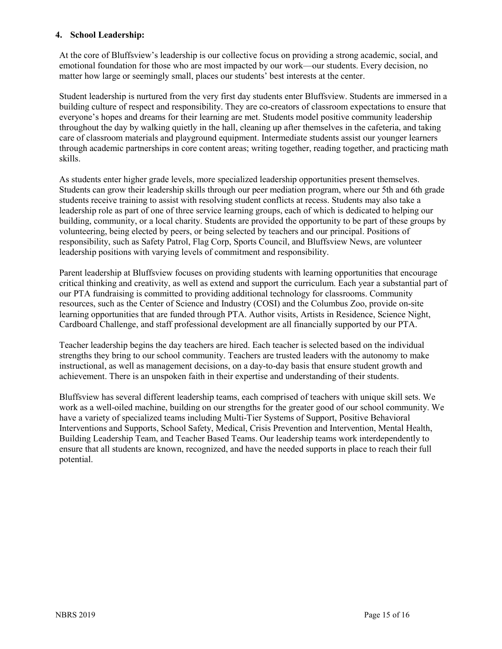### **4. School Leadership:**

At the core of Bluffsview's leadership is our collective focus on providing a strong academic, social, and emotional foundation for those who are most impacted by our work—our students. Every decision, no matter how large or seemingly small, places our students' best interests at the center.

Student leadership is nurtured from the very first day students enter Bluffsview. Students are immersed in a building culture of respect and responsibility. They are co-creators of classroom expectations to ensure that everyone's hopes and dreams for their learning are met. Students model positive community leadership throughout the day by walking quietly in the hall, cleaning up after themselves in the cafeteria, and taking care of classroom materials and playground equipment. Intermediate students assist our younger learners through academic partnerships in core content areas; writing together, reading together, and practicing math skills.

As students enter higher grade levels, more specialized leadership opportunities present themselves. Students can grow their leadership skills through our peer mediation program, where our 5th and 6th grade students receive training to assist with resolving student conflicts at recess. Students may also take a leadership role as part of one of three service learning groups, each of which is dedicated to helping our building, community, or a local charity. Students are provided the opportunity to be part of these groups by volunteering, being elected by peers, or being selected by teachers and our principal. Positions of responsibility, such as Safety Patrol, Flag Corp, Sports Council, and Bluffsview News, are volunteer leadership positions with varying levels of commitment and responsibility.

Parent leadership at Bluffsview focuses on providing students with learning opportunities that encourage critical thinking and creativity, as well as extend and support the curriculum. Each year a substantial part of our PTA fundraising is committed to providing additional technology for classrooms. Community resources, such as the Center of Science and Industry (COSI) and the Columbus Zoo, provide on-site learning opportunities that are funded through PTA. Author visits, Artists in Residence, Science Night, Cardboard Challenge, and staff professional development are all financially supported by our PTA.

Teacher leadership begins the day teachers are hired. Each teacher is selected based on the individual strengths they bring to our school community. Teachers are trusted leaders with the autonomy to make instructional, as well as management decisions, on a day-to-day basis that ensure student growth and achievement. There is an unspoken faith in their expertise and understanding of their students.

Bluffsview has several different leadership teams, each comprised of teachers with unique skill sets. We work as a well-oiled machine, building on our strengths for the greater good of our school community. We have a variety of specialized teams including Multi-Tier Systems of Support, Positive Behavioral Interventions and Supports, School Safety, Medical, Crisis Prevention and Intervention, Mental Health, Building Leadership Team, and Teacher Based Teams. Our leadership teams work interdependently to ensure that all students are known, recognized, and have the needed supports in place to reach their full potential.